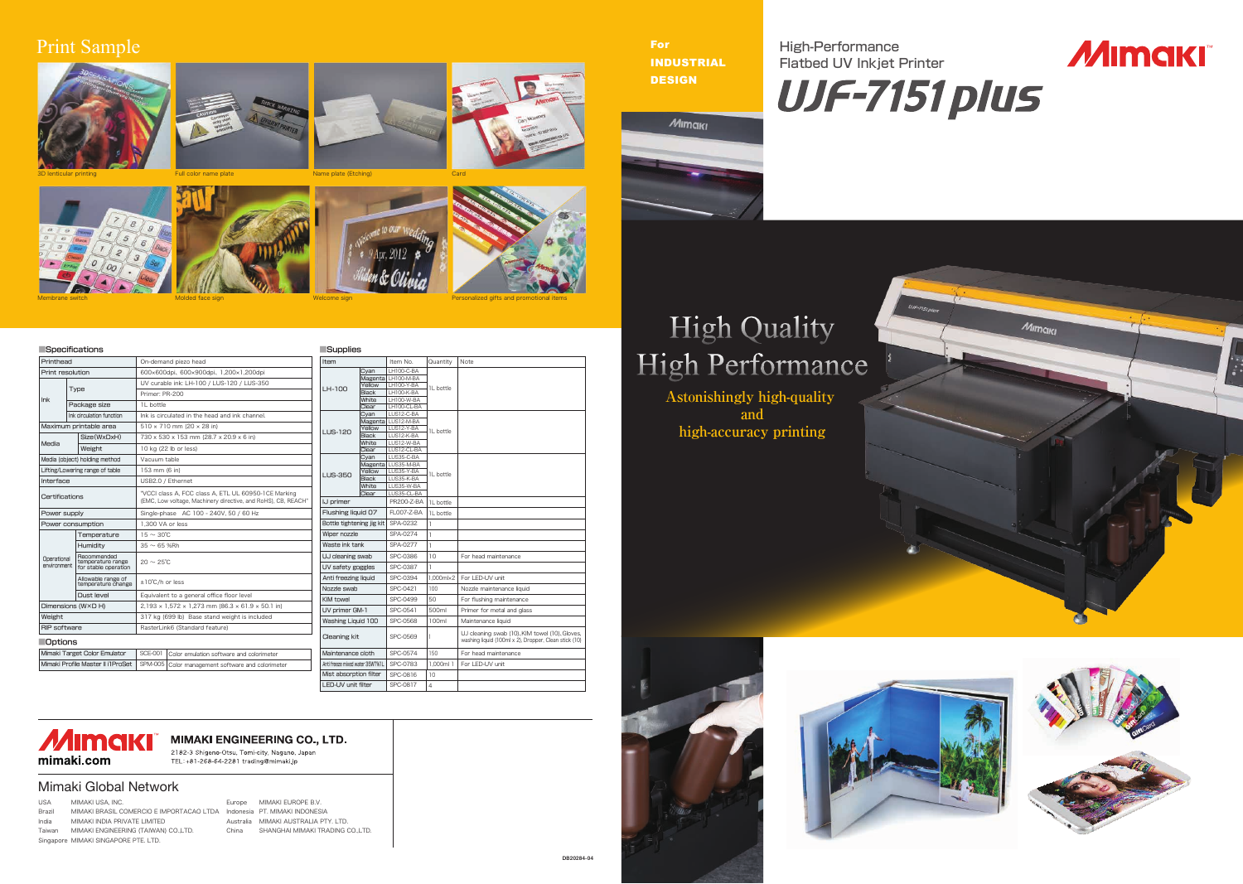High-Performance Flatbed UV Inkjet Printer

For INDUSTRIAL **DESIGN** 



## **High Quality** High Performance













| Printhead                      |                                           | On-demand piezo head                                                                                                  |  |  |  |  |  |                    |                    |                      |  |                                          |                    |              |                          |             |                           |            |  |           | <b>Item</b> |                   |     |  | Item No. |      |                                 | Quantity |            |            |                   |  |           |
|--------------------------------|-------------------------------------------|-----------------------------------------------------------------------------------------------------------------------|--|--|--|--|--|--------------------|--------------------|----------------------|--|------------------------------------------|--------------------|--------------|--------------------------|-------------|---------------------------|------------|--|-----------|-------------|-------------------|-----|--|----------|------|---------------------------------|----------|------------|------------|-------------------|--|-----------|
| Print resolution               |                                           | 600×600dpi、600×900dpi、1,200×1,200dpi                                                                                  |  |  |  |  |  |                    |                    |                      |  |                                          |                    | Cyan         |                          |             |                           | LH100-C-BA |  |           |             |                   |     |  |          |      |                                 |          |            |            |                   |  |           |
|                                |                                           | UV curable ink: LH-100 / LUS-120 / LUS-350                                                                            |  |  |  |  |  |                    | LH-100             |                      |  |                                          | Magenta LH100-M-BA |              |                          |             |                           |            |  |           |             |                   |     |  |          |      |                                 |          |            |            |                   |  |           |
|                                | <b>Type</b>                               | Primer: PR-200                                                                                                        |  |  |  |  |  |                    |                    |                      |  | Yellow<br><b>Black</b>                   |                    |              | LH100-Y-BA<br>LH100-K-BA |             |                           | 1L bottle  |  |           |             |                   |     |  |          |      |                                 |          |            |            |                   |  |           |
| Ink                            |                                           |                                                                                                                       |  |  |  |  |  |                    |                    |                      |  |                                          |                    |              |                          |             |                           |            |  |           |             |                   |     |  | White    |      |                                 |          | LH100-W-BA |            |                   |  |           |
|                                | Package size                              | 1L bottle                                                                                                             |  |  |  |  |  |                    |                    |                      |  |                                          | Clear              |              |                          | LH100-CL-BA |                           |            |  |           |             |                   |     |  |          |      |                                 |          |            |            |                   |  |           |
|                                | Ink circulation function                  | Ink is circulated in the head and ink channel.                                                                        |  |  |  |  |  |                    |                    |                      |  |                                          |                    |              |                          |             |                           |            |  |           |             |                   |     |  |          | Cyan |                                 |          |            | LUS12-C-BA |                   |  |           |
| Maximum printable area         |                                           | $510 \times 710$ mm (20 $\times$ 28 in)                                                                               |  |  |  |  |  |                    |                    |                      |  | Yellow                                   | Magenta LUS12-M-BA |              |                          | LUS12-Y-BA  |                           |            |  |           |             |                   |     |  |          |      |                                 |          |            |            |                   |  |           |
| Size(WxDxH)<br>Media<br>Weight |                                           | 730 x 530 x 153 mm (28.7 x 20.9 x 6 in)                                                                               |  |  |  |  |  |                    |                    | <b>LUS-120</b>       |  |                                          | <b>Black</b>       |              |                          |             | LUS12-K-BA                |            |  | 1L bottle |             |                   |     |  |          |      |                                 |          |            |            |                   |  |           |
|                                |                                           | 10 kg (22 lb or less)                                                                                                 |  |  |  |  |  |                    |                    |                      |  |                                          | White<br>Clear     |              |                          |             | LUS12-W-BA<br>LUS12-CL-BA |            |  |           |             |                   |     |  |          |      |                                 |          |            |            |                   |  |           |
|                                | Media (object) holding method             | Vacuum table                                                                                                          |  |  |  |  |  |                    |                    |                      |  |                                          |                    |              |                          |             |                           |            |  |           |             |                   |     |  |          | Cvan |                                 |          |            | LUS35-C-BA |                   |  |           |
|                                | Lifting/Lowering range of table           | 153 mm (6 in)                                                                                                         |  |  |  |  |  |                    |                    |                      |  | Yellow                                   | Magenta LUS35-M-BA |              |                          | LUS35-Y-BA  |                           |            |  |           |             |                   |     |  |          |      |                                 |          |            |            |                   |  |           |
| Interface                      |                                           | USB2.0 / Ethernet                                                                                                     |  |  |  |  |  |                    |                    | <b>LUS-350</b>       |  |                                          |                    | <b>Black</b> |                          |             |                           | LUS35-K-BA |  | 1L bottle |             |                   |     |  |          |      |                                 |          |            |            |                   |  |           |
|                                |                                           |                                                                                                                       |  |  |  |  |  |                    |                    |                      |  |                                          |                    | White        |                          |             |                           | LUS35-W-BA |  |           |             |                   |     |  |          |      |                                 |          |            |            |                   |  |           |
| Certifications                 |                                           | "VCCI class A. FCC class A. ETL UL 60950-1CE Marking<br>(EMC, Low voltage, Machinery directive, and RoHS), CB, REACH" |  |  |  |  |  |                    |                    |                      |  |                                          | Clear              |              |                          |             | LUS35-CL-BA               |            |  |           |             |                   |     |  |          |      |                                 |          |            |            |                   |  |           |
|                                |                                           |                                                                                                                       |  |  |  |  |  |                    |                    |                      |  |                                          |                    |              |                          |             |                           |            |  |           |             | IJ primer         |     |  |          |      |                                 |          |            |            | <b>PR200-Z-BA</b> |  | 1L bottle |
| Power supply                   |                                           | Single-phase AC 100 - 240V, 50 / 60 Hz                                                                                |  |  |  |  |  | Flushing liquid 07 |                    |                      |  |                                          |                    |              |                          |             | FL007-Z-BA                |            |  | 1L bottle |             |                   |     |  |          |      |                                 |          |            |            |                   |  |           |
| Power consumption              |                                           | 1.300 VA or less                                                                                                      |  |  |  |  |  |                    |                    |                      |  |                                          |                    |              |                          |             |                           |            |  |           |             |                   |     |  |          |      | Bottle tightening jig kit       |          |            | SPA-0232   |                   |  |           |
|                                | Temperature                               | $15 \sim 30^{\circ}$ C                                                                                                |  |  |  |  |  |                    |                    |                      |  |                                          |                    |              |                          |             |                           |            |  |           |             | Wiper nozzle      |     |  |          |      |                                 |          |            | SPA-0274   |                   |  |           |
|                                | Humidity                                  | $35 \sim 65$ %Rh                                                                                                      |  |  |  |  |  |                    |                    |                      |  |                                          |                    |              |                          |             |                           |            |  |           |             | Waste ink tank    |     |  |          |      | SPA-0277                        |          | Ī.         |            |                   |  |           |
| Operational                    | Recommended                               | $20 \sim 25^{\circ}$ C                                                                                                |  |  |  |  |  |                    |                    | UJ cleaning swab     |  |                                          |                    |              |                          |             | SPC-0386                  |            |  | 10        |             |                   |     |  |          |      |                                 |          |            |            |                   |  |           |
| environment                    | temperature range<br>for stable operation |                                                                                                                       |  |  |  |  |  |                    |                    | UV safety goggles    |  |                                          |                    |              |                          | SPC-0387    |                           |            |  |           |             |                   |     |  |          |      |                                 |          |            |            |                   |  |           |
|                                | Allowable range of<br>temperature change  | ±10°C/h or less                                                                                                       |  |  |  |  |  |                    |                    | Anti freezing liquid |  |                                          |                    |              |                          |             | SPC-0394                  |            |  | 1.000ml×  |             |                   |     |  |          |      |                                 |          |            |            |                   |  |           |
|                                |                                           |                                                                                                                       |  |  |  |  |  |                    |                    |                      |  | Nozzle swab                              |                    |              |                          |             |                           |            |  | SPC-0421  |             |                   | 100 |  |          |      |                                 |          |            |            |                   |  |           |
|                                | Dust level                                | Equivalent to a general office floor level                                                                            |  |  |  |  |  |                    |                    |                      |  |                                          |                    |              |                          |             |                           |            |  |           |             | <b>KIM towel</b>  |     |  |          |      |                                 |          |            | SPC-0499   |                   |  | 50        |
|                                | Dimensions (W×D H)                        | $2,193 \times 1,572 \times 1,273$ mm (86.3 $\times$ 61.9 $\times$ 50.1 in)                                            |  |  |  |  |  |                    | UV primer GM-1     |                      |  |                                          |                    |              |                          |             | SPC-0541                  |            |  | 500ml     |             |                   |     |  |          |      |                                 |          |            |            |                   |  |           |
| Weight                         |                                           | 317 kg (699 lb) Base stand weight is included                                                                         |  |  |  |  |  |                    | Washing Liquid 100 |                      |  |                                          |                    |              |                          |             | SPC-0568                  |            |  | 100ml     |             |                   |     |  |          |      |                                 |          |            |            |                   |  |           |
| <b>RIP</b> software            |                                           | RasterLink6 (Standard feature)                                                                                        |  |  |  |  |  |                    |                    |                      |  |                                          |                    |              |                          |             |                           |            |  |           |             |                   |     |  |          |      |                                 |          |            |            |                   |  |           |
| <b>Options</b>                 |                                           |                                                                                                                       |  |  |  |  |  |                    |                    |                      |  |                                          |                    |              |                          |             |                           |            |  |           |             | Cleaning kit      |     |  |          |      |                                 |          |            | SPC-0569   |                   |  |           |
|                                | Mimaki Target Color Emulator              | <b>SCE-001</b>                                                                                                        |  |  |  |  |  |                    |                    |                      |  | Color emulation software and colorimeter |                    |              |                          |             |                           |            |  |           |             | Maintenance cloth |     |  |          |      |                                 |          |            | SPC-0574   |                   |  | 150       |
|                                | Mimaki Profile Master II il ProSet        | SPM-005   Color management software and colorimeter                                                                   |  |  |  |  |  |                    |                    |                      |  |                                          |                    |              |                          |             |                           |            |  |           |             |                   |     |  |          |      | Anti freeze mixed water 35WT%1L |          |            | SPC-0783   |                   |  | 1.000ml   |
|                                |                                           |                                                                                                                       |  |  |  |  |  |                    |                    |                      |  |                                          |                    |              |                          |             |                           |            |  |           |             |                   |     |  |          |      |                                 |          |            |            |                   |  |           |

USA MIMAKI USA, INC. Brazil MIMAKI BRASIL COMERCIO E IMPORTACAO LTDA Indonesia PT. MIMAKI INDONESIA India MIMAKI INDIA PRIVATE LIMITED Taiwan MIMAKI ENGINEERING (TAIWAN) CO.,LTD. Singapore MIMAKI SINGAPORE PTE. LTD.

| Item                            |                       | Item No.             | Quantity              | Note                                                                                                    |  |  |  |  |  |
|---------------------------------|-----------------------|----------------------|-----------------------|---------------------------------------------------------------------------------------------------------|--|--|--|--|--|
| Cyan                            |                       | LH100-C-BA           |                       |                                                                                                         |  |  |  |  |  |
|                                 |                       | Magenta LH100-M-BA   |                       |                                                                                                         |  |  |  |  |  |
| LH-100                          | Yellow                | LH100-Y-BA           | 1L bottle             |                                                                                                         |  |  |  |  |  |
|                                 | <b>Black</b>          | LH100-K-BA           |                       |                                                                                                         |  |  |  |  |  |
|                                 | White                 | LH100-W-BA           |                       |                                                                                                         |  |  |  |  |  |
|                                 | Clear                 | LH100-CL-BA          |                       |                                                                                                         |  |  |  |  |  |
|                                 | Cyan                  | LUS12-C-BA           |                       |                                                                                                         |  |  |  |  |  |
|                                 |                       | Magenta   LUS12-M-BA |                       |                                                                                                         |  |  |  |  |  |
| <b>LUS-120</b>                  | Yellow                | LUS12-Y-BA           | 1L bottle             |                                                                                                         |  |  |  |  |  |
|                                 | <b>Black</b>          | LUS12-K-BA           |                       |                                                                                                         |  |  |  |  |  |
|                                 | White                 | LUS12-W-BA           |                       |                                                                                                         |  |  |  |  |  |
|                                 | Clear                 | LUS12-CL-BA          |                       |                                                                                                         |  |  |  |  |  |
|                                 | Cyan                  | LUS35-C-BA           |                       |                                                                                                         |  |  |  |  |  |
|                                 |                       | Magenta LUS35-M-BA   |                       |                                                                                                         |  |  |  |  |  |
| <b>LUS-350</b>                  | Yellow                | LUS35-Y-BA           | 1L bottle             |                                                                                                         |  |  |  |  |  |
|                                 | <b>Black</b><br>White | LUS35-K-BA           |                       |                                                                                                         |  |  |  |  |  |
|                                 |                       | LUS35-W-BA           |                       |                                                                                                         |  |  |  |  |  |
|                                 | Clear                 | LUS35-CL-BA          |                       |                                                                                                         |  |  |  |  |  |
| IJ primer                       |                       | PR200-Z-BA           | 1L bottle             |                                                                                                         |  |  |  |  |  |
| Flushing liquid 07              |                       | FL007-Z-BA           | 1L bottle             |                                                                                                         |  |  |  |  |  |
| Bottle tightening jig kit       |                       | SPA-0232             | L                     |                                                                                                         |  |  |  |  |  |
| Wiper nozzle                    |                       | SPA-0274             | L                     |                                                                                                         |  |  |  |  |  |
| Waste ink tank                  |                       | SPA-0277             | I.                    |                                                                                                         |  |  |  |  |  |
| UJ cleaning swab                |                       | SPC-0386             | 10                    | For head maintenance                                                                                    |  |  |  |  |  |
| UV safety goggles               |                       | SPC-0387             | I.                    |                                                                                                         |  |  |  |  |  |
| Anti freezing liquid            |                       | SPC-0394             | $1.000$ ml $\times$ 2 | For LED-UV unit                                                                                         |  |  |  |  |  |
| Nozzle swab                     |                       | SPC-0421             | 100                   | Nozzle maintenance liquid                                                                               |  |  |  |  |  |
| <b>KIM towel</b>                |                       | SPC-0499             | 50                    | For flushing maintenance                                                                                |  |  |  |  |  |
| UV primer GM-1                  |                       | SPC-0541             | 500ml                 | Primer for metal and glass                                                                              |  |  |  |  |  |
| Washing Liquid 100              |                       | SPC-0568             | 100ml                 | Maintenance liquid                                                                                      |  |  |  |  |  |
| <b>Cleaning kit</b>             |                       | SPC-0569             | 1                     | UJ cleaning swab (10), KIM towel (10), Gloves,<br>washing liquid (100ml x 2), Dropper, Clean stick (10) |  |  |  |  |  |
| Maintenance cloth               |                       | SPC-0574             | 150                   | For head maintenance                                                                                    |  |  |  |  |  |
| Anti freeze mixed water 35WT%1L |                       | SPC-0783             | 1.000ml 1             | For LED-UV unit                                                                                         |  |  |  |  |  |
| Mist absorption filter          |                       | SPC-0816             | 10                    |                                                                                                         |  |  |  |  |  |
| LED-UV unit filter              |                       | SPC-0817             | 4                     |                                                                                                         |  |  |  |  |  |



#### **MIMAKI ENGINEERING CO., LTD.**

2182-3 Shigeno-Otsu, Tomi-city, Nagano, Japan<br>TEL:+81-268-64-2281 trading@mimaki.jp

Europe MIMAKI EUROPE B.V. Australia MIMAKI AUSTRALIA PTY. LTD. China SHANGHAI MIMAKI TRADING CO.,LTD.





#### Mimaki Global Network

Molded face sign



Name plate (Etching)





**Astonishingly high-quality high-accuracy printing and**

## Print Sample